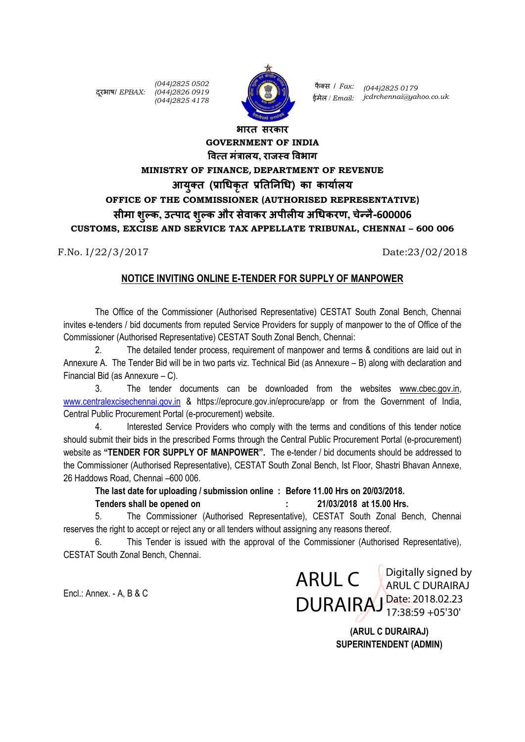दरूभाष/ *EPBAX: (044)2826 0919 (044)2825 0502 (044)2825 4178*



फै क्स / *Fax: (044)2825 0179* ईमेल / *Email: jcdrchennai@yahoo.co.uk*

# **भारत सरकार GOVERNMENT OF INDIA वित्त मंत्रालय, राजस्ि विभाग MINISTRY OF FINANCE, DEPARTMENT OF REVENUE आयुक्त (प्राधिकृत प्रतततिधि) का कायाालय OFFICE OF THE COMMISSIONER (AUTHORISED REPRESENTATIVE) सीमा शुल्क, उत्पाद शुल्क और सेिाकर अपीलीय अधिकरण, चेन्िै-600006 CUSTOMS, EXCISE AND SERVICE TAX APPELLATE TRIBUNAL, CHENNAI – 600 006**

F.No. I/22/3/2017 Date:23/02/2018

#### **NOTICE INVITING ONLINE E-TENDER FOR SUPPLY OF MANPOWER**

The Office of the Commissioner (Authorised Representative) CESTAT South Zonal Bench, Chennai invites e-tenders / bid documents from reputed Service Providers for supply of manpower to the of Office of the Commissioner (Authorised Representative) CESTAT South Zonal Bench, Chennai:

The detailed tender process, requirement of manpower and terms & conditions are laid out in Annexure A. The Tender Bid will be in two parts viz. Technical Bid (as Annexure – B) along with declaration and Financial Bid (as Annexure – C).

3. The tender documents can be downloaded from the websites [www.cbec.gov.in,](http://www.cbec.gov.in/) [www.centralexcisechennai.gov.in](http://www.centralexcisechennai.gov.in/) & https://eprocure.gov.in/eprocure/app or from the Government of India, Central Public Procurement Portal (e-procurement) website.

4. Interested Service Providers who comply with the terms and conditions of this tender notice should submit their bids in the prescribed Forms through the Central Public Procurement Portal (e-procurement) website as **"TENDER FOR SUPPLY OF MANPOWER".** The e-tender / bid documents should be addressed to the Commissioner (Authorised Representative), CESTAT South Zonal Bench, Ist Floor, Shastri Bhavan Annexe, 26 Haddows Road, Chennai –600 006.

**The last date for uploading / submission online : Before 11.00 Hrs on 20/03/2018. Tenders shall be opened on : 21/03/2018 at 15.00 Hrs.** 

5. The Commissioner (Authorised Representative), CESTAT South Zonal Bench, Chennai reserves the right to accept or reject any or all tenders without assigning any reasons thereof.

6. This Tender is issued with the approval of the Commissioner (Authorised Representative), CESTAT South Zonal Bench, Chennai.

Encl.: Annex. - A, B & C

ARUL C **ARUL C DURAIRAL** DURAIRAJ Date: 2018.02.23 ARUL C DURAIRAJ 17:38:59 +05'30'

> **(ARUL C DURAIRAJ) SUPERINTENDENT (ADMIN)**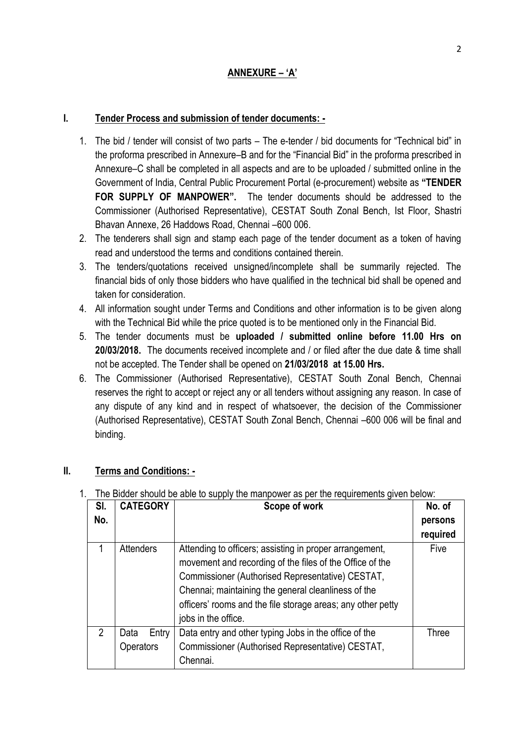### **I. Tender Process and submission of tender documents: -**

- 1. The bid / tender will consist of two parts The e-tender / bid documents for "Technical bid" in the proforma prescribed in Annexure–B and for the "Financial Bid" in the proforma prescribed in Annexure–C shall be completed in all aspects and are to be uploaded / submitted online in the Government of India, Central Public Procurement Portal (e-procurement) website as **"TENDER FOR SUPPLY OF MANPOWER".** The tender documents should be addressed to the Commissioner (Authorised Representative), CESTAT South Zonal Bench, Ist Floor, Shastri Bhavan Annexe, 26 Haddows Road, Chennai –600 006.
- 2. The tenderers shall sign and stamp each page of the tender document as a token of having read and understood the terms and conditions contained therein.
- 3. The tenders/quotations received unsigned/incomplete shall be summarily rejected. The financial bids of only those bidders who have qualified in the technical bid shall be opened and taken for consideration.
- 4. All information sought under Terms and Conditions and other information is to be given along with the Technical Bid while the price quoted is to be mentioned only in the Financial Bid.
- 5. The tender documents must be **uploaded / submitted online before 11.00 Hrs on 20/03/2018.** The documents received incomplete and / or filed after the due date & time shall not be accepted. The Tender shall be opened on **21/03/2018 at 15.00 Hrs.**
- 6. The Commissioner (Authorised Representative), CESTAT South Zonal Bench, Chennai reserves the right to accept or reject any or all tenders without assigning any reason. In case of any dispute of any kind and in respect of whatsoever, the decision of the Commissioner (Authorised Representative), CESTAT South Zonal Bench, Chennai –600 006 will be final and binding.

### **II. Terms and Conditions: -**

| SI.           | <b>CATEGORY</b>  | Scope of work                                               | No. of   |
|---------------|------------------|-------------------------------------------------------------|----------|
| No.           |                  |                                                             | persons  |
|               |                  |                                                             | required |
|               | Attenders        | Attending to officers; assisting in proper arrangement,     | Five     |
|               |                  | movement and recording of the files of the Office of the    |          |
|               |                  | Commissioner (Authorised Representative) CESTAT,            |          |
|               |                  | Chennai; maintaining the general cleanliness of the         |          |
|               |                  | officers' rooms and the file storage areas; any other petty |          |
|               |                  | jobs in the office.                                         |          |
| $\mathcal{P}$ | Entry<br>Data    | Data entry and other typing Jobs in the office of the       | Three    |
|               | <b>Operators</b> | Commissioner (Authorised Representative) CESTAT,            |          |
|               |                  | Chennai.                                                    |          |

1. The Bidder should be able to supply the manpower as per the requirements given below: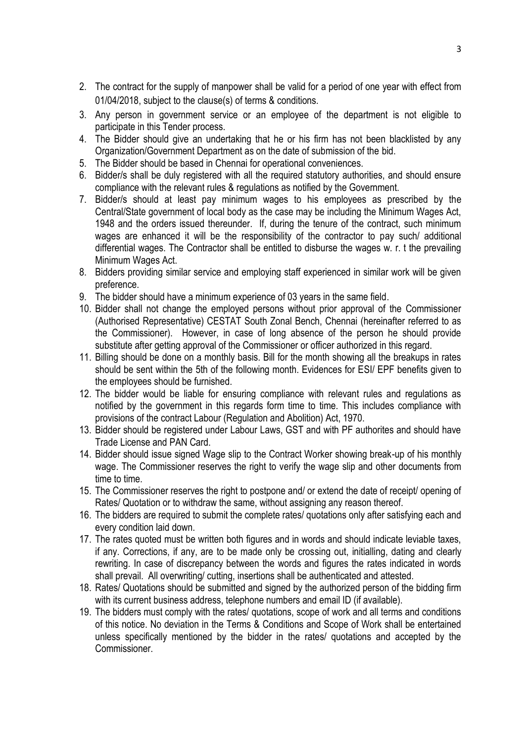- 2. The contract for the supply of manpower shall be valid for a period of one year with effect from 01/04/2018, subject to the clause(s) of terms & conditions.
- 3. Any person in government service or an employee of the department is not eligible to participate in this Tender process.
- 4. The Bidder should give an undertaking that he or his firm has not been blacklisted by any Organization/Government Department as on the date of submission of the bid.
- 5. The Bidder should be based in Chennai for operational conveniences.
- 6. Bidder/s shall be duly registered with all the required statutory authorities, and should ensure compliance with the relevant rules & regulations as notified by the Government.
- 7. Bidder/s should at least pay minimum wages to his employees as prescribed by the Central/State government of local body as the case may be including the Minimum Wages Act, 1948 and the orders issued thereunder. If, during the tenure of the contract, such minimum wages are enhanced it will be the responsibility of the contractor to pay such/ additional differential wages. The Contractor shall be entitled to disburse the wages w. r. t the prevailing Minimum Wages Act.
- 8. Bidders providing similar service and employing staff experienced in similar work will be given preference.
- 9. The bidder should have a minimum experience of 03 years in the same field.
- 10. Bidder shall not change the employed persons without prior approval of the Commissioner (Authorised Representative) CESTAT South Zonal Bench, Chennai (hereinafter referred to as the Commissioner). However, in case of long absence of the person he should provide substitute after getting approval of the Commissioner or officer authorized in this regard.
- 11. Billing should be done on a monthly basis. Bill for the month showing all the breakups in rates should be sent within the 5th of the following month. Evidences for ESI/ EPF benefits given to the employees should be furnished.
- 12. The bidder would be liable for ensuring compliance with relevant rules and regulations as notified by the government in this regards form time to time. This includes compliance with provisions of the contract Labour (Regulation and Abolition) Act, 1970.
- 13. Bidder should be registered under Labour Laws, GST and with PF authorites and should have Trade License and PAN Card.
- 14. Bidder should issue signed Wage slip to the Contract Worker showing break-up of his monthly wage. The Commissioner reserves the right to verify the wage slip and other documents from time to time.
- 15. The Commissioner reserves the right to postpone and/ or extend the date of receipt/ opening of Rates/ Quotation or to withdraw the same, without assigning any reason thereof.
- 16. The bidders are required to submit the complete rates/ quotations only after satisfying each and every condition laid down.
- 17. The rates quoted must be written both figures and in words and should indicate leviable taxes, if any. Corrections, if any, are to be made only be crossing out, initialling, dating and clearly rewriting. In case of discrepancy between the words and figures the rates indicated in words shall prevail. All overwriting/ cutting, insertions shall be authenticated and attested.
- 18. Rates/ Quotations should be submitted and signed by the authorized person of the bidding firm with its current business address, telephone numbers and email ID (if available).
- 19. The bidders must comply with the rates/ quotations, scope of work and all terms and conditions of this notice. No deviation in the Terms & Conditions and Scope of Work shall be entertained unless specifically mentioned by the bidder in the rates/ quotations and accepted by the **Commissioner**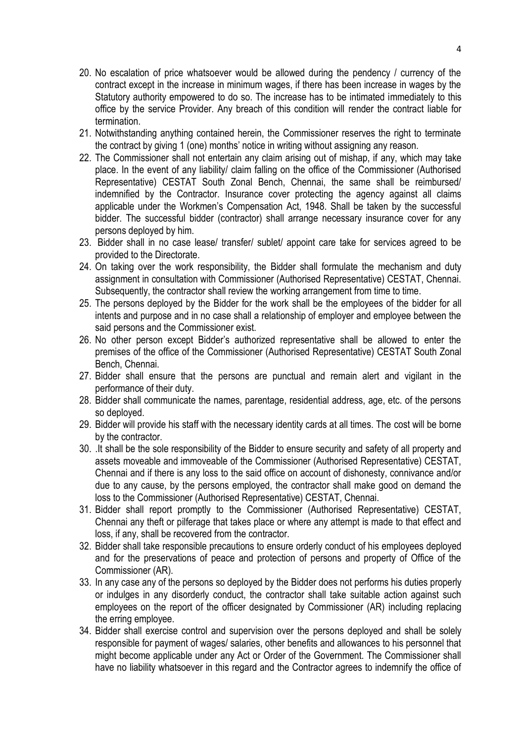- 20. No escalation of price whatsoever would be allowed during the pendency / currency of the contract except in the increase in minimum wages, if there has been increase in wages by the Statutory authority empowered to do so. The increase has to be intimated immediately to this office by the service Provider. Any breach of this condition will render the contract liable for termination.
- 21. Notwithstanding anything contained herein, the Commissioner reserves the right to terminate the contract by giving 1 (one) months' notice in writing without assigning any reason.
- 22. The Commissioner shall not entertain any claim arising out of mishap, if any, which may take place. In the event of any liability/ claim falling on the office of the Commissioner (Authorised Representative) CESTAT South Zonal Bench, Chennai, the same shall be reimbursed/ indemnified by the Contractor. Insurance cover protecting the agency against all claims applicable under the Workmen's Compensation Act, 1948. Shall be taken by the successful bidder. The successful bidder (contractor) shall arrange necessary insurance cover for any persons deployed by him.
- 23. Bidder shall in no case lease/ transfer/ sublet/ appoint care take for services agreed to be provided to the Directorate.
- 24. On taking over the work responsibility, the Bidder shall formulate the mechanism and duty assignment in consultation with Commissioner (Authorised Representative) CESTAT, Chennai. Subsequently, the contractor shall review the working arrangement from time to time.
- 25. The persons deployed by the Bidder for the work shall be the employees of the bidder for all intents and purpose and in no case shall a relationship of employer and employee between the said persons and the Commissioner exist.
- 26. No other person except Bidder's authorized representative shall be allowed to enter the premises of the office of the Commissioner (Authorised Representative) CESTAT South Zonal Bench, Chennai.
- 27. Bidder shall ensure that the persons are punctual and remain alert and vigilant in the performance of their duty.
- 28. Bidder shall communicate the names, parentage, residential address, age, etc. of the persons so deployed.
- 29. Bidder will provide his staff with the necessary identity cards at all times. The cost will be borne by the contractor.
- 30. .It shall be the sole responsibility of the Bidder to ensure security and safety of all property and assets moveable and immoveable of the Commissioner (Authorised Representative) CESTAT, Chennai and if there is any loss to the said office on account of dishonesty, connivance and/or due to any cause, by the persons employed, the contractor shall make good on demand the loss to the Commissioner (Authorised Representative) CESTAT, Chennai.
- 31. Bidder shall report promptly to the Commissioner (Authorised Representative) CESTAT, Chennai any theft or pilferage that takes place or where any attempt is made to that effect and loss, if any, shall be recovered from the contractor.
- 32. Bidder shall take responsible precautions to ensure orderly conduct of his employees deployed and for the preservations of peace and protection of persons and property of Office of the Commissioner (AR).
- 33. In any case any of the persons so deployed by the Bidder does not performs his duties properly or indulges in any disorderly conduct, the contractor shall take suitable action against such employees on the report of the officer designated by Commissioner (AR) including replacing the erring employee.
- 34. Bidder shall exercise control and supervision over the persons deployed and shall be solely responsible for payment of wages/ salaries, other benefits and allowances to his personnel that might become applicable under any Act or Order of the Government. The Commissioner shall have no liability whatsoever in this regard and the Contractor agrees to indemnify the office of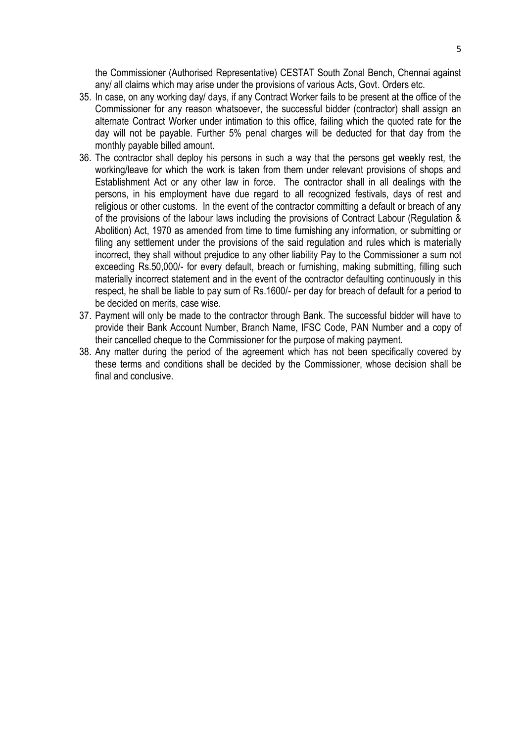the Commissioner (Authorised Representative) CESTAT South Zonal Bench, Chennai against any/ all claims which may arise under the provisions of various Acts, Govt. Orders etc.

- 35. In case, on any working day/ days, if any Contract Worker fails to be present at the office of the Commissioner for any reason whatsoever, the successful bidder (contractor) shall assign an alternate Contract Worker under intimation to this office, failing which the quoted rate for the day will not be payable. Further 5% penal charges will be deducted for that day from the monthly payable billed amount.
- 36. The contractor shall deploy his persons in such a way that the persons get weekly rest, the working/leave for which the work is taken from them under relevant provisions of shops and Establishment Act or any other law in force. The contractor shall in all dealings with the persons, in his employment have due regard to all recognized festivals, days of rest and religious or other customs. In the event of the contractor committing a default or breach of any of the provisions of the labour laws including the provisions of Contract Labour (Regulation & Abolition) Act, 1970 as amended from time to time furnishing any information, or submitting or filing any settlement under the provisions of the said regulation and rules which is materially incorrect, they shall without prejudice to any other liability Pay to the Commissioner a sum not exceeding Rs.50,000/- for every default, breach or furnishing, making submitting, filling such materially incorrect statement and in the event of the contractor defaulting continuously in this respect, he shall be liable to pay sum of Rs.1600/- per day for breach of default for a period to be decided on merits, case wise.
- 37. Payment will only be made to the contractor through Bank. The successful bidder will have to provide their Bank Account Number, Branch Name, IFSC Code, PAN Number and a copy of their cancelled cheque to the Commissioner for the purpose of making payment.
- 38. Any matter during the period of the agreement which has not been specifically covered by these terms and conditions shall be decided by the Commissioner, whose decision shall be final and conclusive.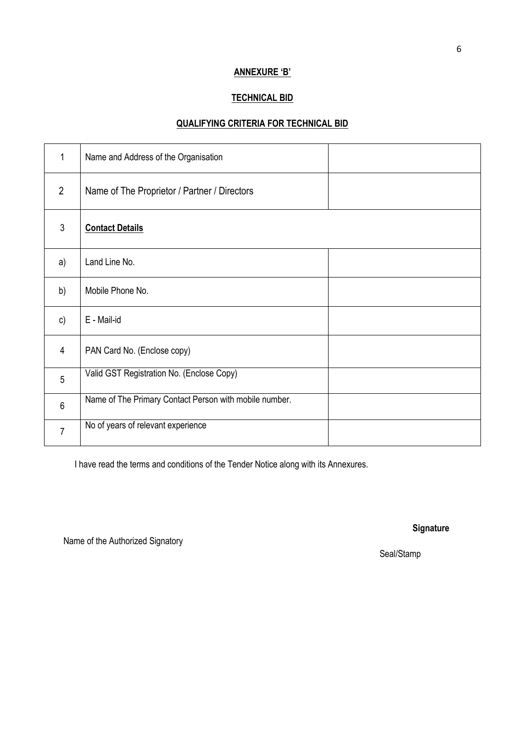#### **ANNEXURE 'B'**

### **TECHNICAL BID**

## **QUALIFYING CRITERIA FOR TECHNICAL BID**

| 1              | Name and Address of the Organisation                   |  |
|----------------|--------------------------------------------------------|--|
| $\overline{2}$ | Name of The Proprietor / Partner / Directors           |  |
| 3              | <b>Contact Details</b>                                 |  |
| a)             | Land Line No.                                          |  |
| b)             | Mobile Phone No.                                       |  |
| $\mathsf{c})$  | E - Mail-id                                            |  |
| $\overline{4}$ | PAN Card No. (Enclose copy)                            |  |
| 5              | Valid GST Registration No. (Enclose Copy)              |  |
| $6\phantom{1}$ | Name of The Primary Contact Person with mobile number. |  |
| $\overline{7}$ | No of years of relevant experience                     |  |

I have read the terms and conditions of the Tender Notice along with its Annexures.

Name of the Authorized Signatory

**Signature** 

Seal/Stamp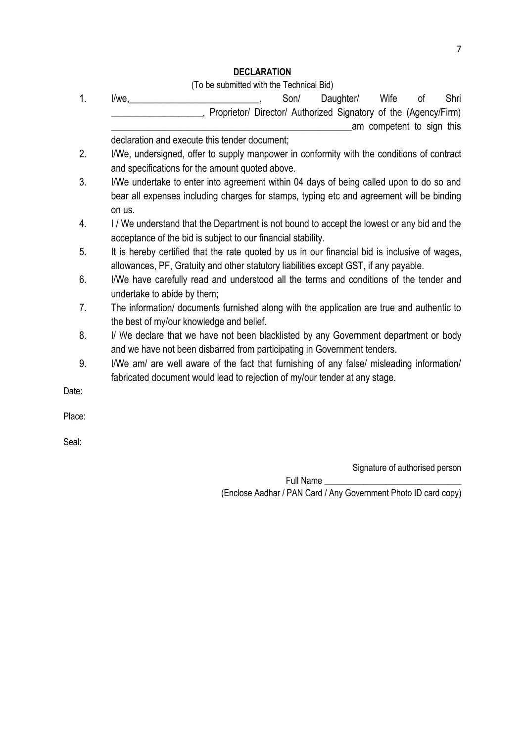# **DECLARATION**

(To be submitted with the Technical Bid)

| 1.    | l/we.                                                                                         | Son/ | Daughter/ | Wife | οf                        | Shri |
|-------|-----------------------------------------------------------------------------------------------|------|-----------|------|---------------------------|------|
|       | Proprietor/ Director/ Authorized Signatory of the (Agency/Firm)                               |      |           |      |                           |      |
|       |                                                                                               |      |           |      | am competent to sign this |      |
|       | declaration and execute this tender document;                                                 |      |           |      |                           |      |
| 2.    | I/We, undersigned, offer to supply manpower in conformity with the conditions of contract     |      |           |      |                           |      |
|       | and specifications for the amount quoted above.                                               |      |           |      |                           |      |
| 3.    | I/We undertake to enter into agreement within 04 days of being called upon to do so and       |      |           |      |                           |      |
|       | bear all expenses including charges for stamps, typing etc and agreement will be binding      |      |           |      |                           |      |
|       | on us.                                                                                        |      |           |      |                           |      |
| 4.    | I/We understand that the Department is not bound to accept the lowest or any bid and the      |      |           |      |                           |      |
|       | acceptance of the bid is subject to our financial stability.                                  |      |           |      |                           |      |
| 5.    | It is hereby certified that the rate quoted by us in our financial bid is inclusive of wages, |      |           |      |                           |      |
|       | allowances, PF, Gratuity and other statutory liabilities except GST, if any payable.          |      |           |      |                           |      |
| 6.    | I/We have carefully read and understood all the terms and conditions of the tender and        |      |           |      |                           |      |
|       | undertake to abide by them;                                                                   |      |           |      |                           |      |
| 7.    | The information/ documents furnished along with the application are true and authentic to     |      |           |      |                           |      |
|       | the best of my/our knowledge and belief.                                                      |      |           |      |                           |      |
| 8.    | I/ We declare that we have not been blacklisted by any Government department or body          |      |           |      |                           |      |
|       | and we have not been disbarred from participating in Government tenders.                      |      |           |      |                           |      |
| 9.    | I/We am/ are well aware of the fact that furnishing of any false/ misleading information/     |      |           |      |                           |      |
|       | fabricated document would lead to rejection of my/our tender at any stage.                    |      |           |      |                           |      |
| Date: |                                                                                               |      |           |      |                           |      |

Place:

Seal:

Signature of authorised person

Full Name \_\_\_\_ (Enclose Aadhar / PAN Card / Any Government Photo ID card copy)